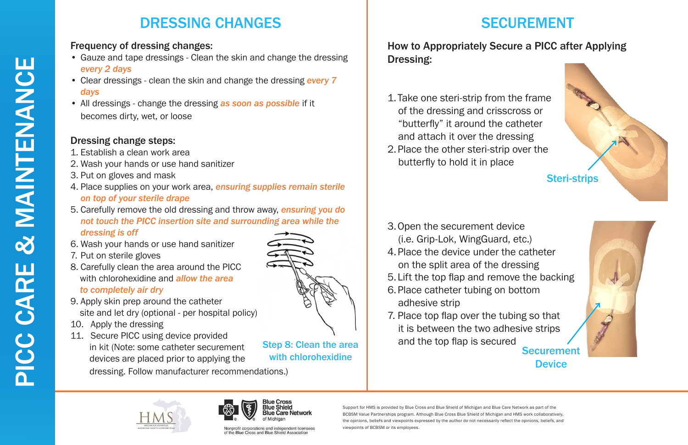



Blue Care Network

**Blue Cross** Blue Shielc

Nonprofit corporations and independent licensees of the Blue Cross and Blue Shield Association

Support for HMS is provided by Blue Cross and Blue Shield of Michigan and Blue Care Network as part of the BCBSM Value Partnerships program. Although Blue Cross Blue Shield of Michigan and HMS work collaboratively, the opinions, beliefs and viewpoints expressed by the author do not necessarily reflect the opinions, beliefs, and viewpoints of BCBSM or its employees.



Step 8: Clean the area with chlorohexidine

# SECUREMENT

## How to Appropriately Secure a PICC after Applying Dressing:

- 1.Take one steri-strip from the frame of the dressing and crisscross or "butterfly" it around the catheter and attach it over the dressing
- 2.Place the other steri-strip over the butterfly to hold it in place

- 3.Open the securement device (i.e. Grip-Lok, WingGuard, etc.)
- 4.Place the device under the catheter on the split area of the dressing
- 5.Lift the top flap and remove the backing
- 6.Place catheter tubing on bottom adhesive strip
- 7. Place top flap over the tubing so that it is between the two adhesive strips and the top flap is secured



**Securement Device** 



# DRESSING CHANGES

### Frequency of dressing changes:

- Gauze and tape dressings Clean the skin and change the dressing *every 2 days*
- Clear dressings clean the skin and change the dressing *every 7 days*
- All dressings change the dressing *as soon as possible* if it becomes dirty, wet, or loose

### Dressing change steps:

- 1. Establish a clean work area
- 2. Wash your hands or use hand sanitizer
- 3. Put on gloves and mask
- 4. Place supplies on your work area, *ensuring supplies remain sterile on top of your sterile drape*
- 5. Carefully remove the old dressing and throw away, *ensuring you do not touch the PICC insertion site and surrounding area while the dressing is off*
- 6. Wash your hands or use hand sanitizer
- 7. Put on sterile gloves
- 8. Carefully clean the area around the PICC with chlorohexidine and *allow the area to completely air dry*
- 9. Apply skin prep around the catheter site and let dry (optional - per hospital policy)
- 10. Apply the dressing
- 11. Secure PICC using device provided in kit (Note: some catheter securement devices are placed prior to applying the

dressing. Follow manufacturer recommendations.)